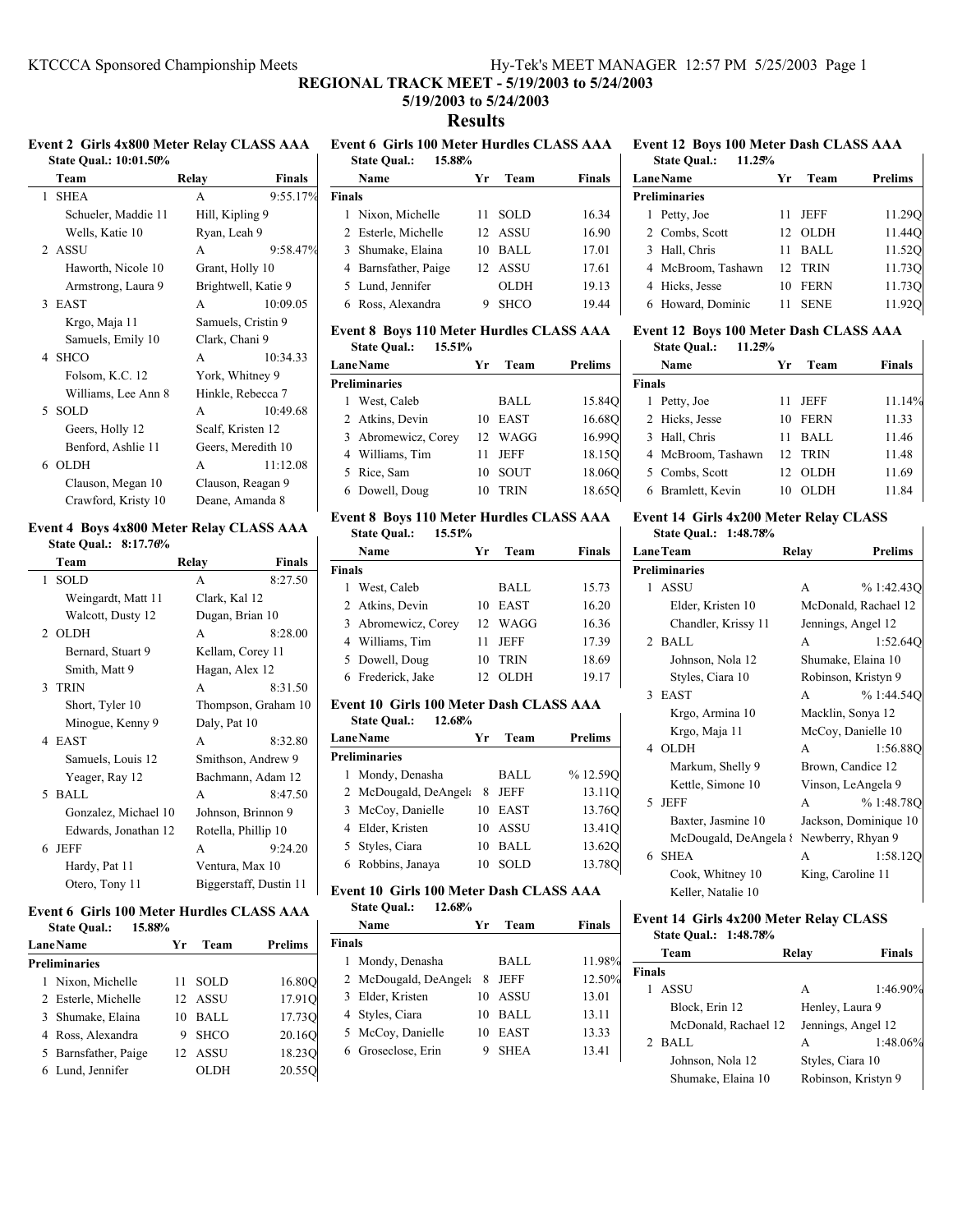# **REGIONAL TRACK MEET - 5/19/2003 to 5/24/2003**

# **5/19/2003 to 5/24/2003**

**Results**

# **Event 2 Girls 4x800 Meter Relay CLASS AAA State Qual.: 10:01.50%**

| Team                | Relay             | <b>Finals</b>       |
|---------------------|-------------------|---------------------|
| 1 SHEA              | A                 | $9:55.17\%$         |
| Schueler, Maddie 11 | Hill, Kipling 9   |                     |
| Wells, Katie 10     | Ryan, Leah 9      |                     |
| 2 ASSU              | A                 | 9:58.47%            |
| Haworth, Nicole 10  | Grant, Holly 10   |                     |
| Armstrong, Laura 9  |                   | Brightwell, Katie 9 |
| 3 EAST              | A                 | 10:09.05            |
| Krgo, Maja 11       |                   | Samuels, Cristin 9  |
| Samuels, Emily 10   | Clark, Chani 9    |                     |
| 4 SHCO              | A                 | 10:34.33            |
| Folsom, K.C. 12     | York, Whitney 9   |                     |
| Williams, Lee Ann 8 |                   | Hinkle, Rebecca 7   |
| 5 SOLD              | A                 | 10:49.68            |
| Geers, Holly 12     | Scalf, Kristen 12 |                     |
| Benford, Ashlie 11  |                   | Geers, Meredith 10  |
| 6 OLDH              | A                 | 11:12.08            |
| Clauson, Megan 10   |                   | Clauson, Reagan 9   |
| Crawford, Kristy 10 |                   | Deane, Amanda 8     |

# **Event 4 Boys 4x800 Meter Relay CLASS AAA State Qual.: 8:17.76%**

| Team                 | Relay                  | <b>Finals</b> |
|----------------------|------------------------|---------------|
| 1 SOLD               | A                      | 8:27.50       |
| Weingardt, Matt 11   | Clark, Kal 12          |               |
| Walcott, Dusty 12    | Dugan, Brian 10        |               |
| 2 OLDH               | A                      | 8:28.00       |
| Bernard, Stuart 9    | Kellam, Corey 11       |               |
| Smith, Matt 9        | Hagan, Alex 12         |               |
| 3 TRIN               | A                      | 8:31.50       |
| Short, Tyler 10      | Thompson, Graham 10    |               |
| Minogue, Kenny 9     | Daly, Pat 10           |               |
| 4 EAST               | A                      | 8:32.80       |
| Samuels, Louis 12    | Smithson, Andrew 9     |               |
| Yeager, Ray 12       | Bachmann, Adam 12      |               |
| 5 BALL               | A                      | 8:47.50       |
| Gonzalez, Michael 10 | Johnson, Brinnon 9     |               |
| Edwards, Jonathan 12 | Rotella, Phillip 10    |               |
| 6 JEFF               | A                      | 9:24.20       |
| Hardy, Pat 11        | Ventura, Max 10        |               |
| Otero, Tony 11       | Biggerstaff, Dustin 11 |               |
|                      |                        |               |

#### **Event 6 Girls 100 Meter Hurdles CLASS AAA 15.88%**

| <b>State Qual.:</b> |  |
|---------------------|--|
|---------------------|--|

| <b>Lane Name</b> |                      | Уr | Team        | <b>Prelims</b> |  |
|------------------|----------------------|----|-------------|----------------|--|
|                  | <b>Preliminaries</b> |    |             |                |  |
|                  | 1 Nixon, Michelle    | 11 | <b>SOLD</b> | 16.80O         |  |
|                  | 2 Esterle, Michelle  |    | 12 ASSU     | 17.910         |  |
|                  | 3 Shumake, Elaina    | 10 | BALL        | 17.730         |  |
|                  | 4 Ross, Alexandra    | 9  | <b>SHCO</b> | 20.160         |  |
|                  | 5 Barnsfather, Paige |    | 12 ASSU     | 18.230         |  |
|                  | 6 Lund, Jennifer     |    | OLDH        | 20.550         |  |

**Event 6 Girls 100 Meter Hurdles CLASS AAA State Qual.: 15.88% Name Yr Team Finals Finals**

| 1 Nixon, Michelle    |   | 11 SOLD     | 16.34 |
|----------------------|---|-------------|-------|
| 2 Esterle, Michelle  |   | 12 ASSU     | 16.90 |
| 3 Shumake, Elaina    |   | 10 BALL     | 17.01 |
| 4 Barnsfather, Paige |   | 12 ASSU     | 17.61 |
| 5 Lund, Jennifer     |   | <b>OLDH</b> | 19.13 |
| 6 Ross, Alexandra    | 9 | <b>SHCO</b> | 19.44 |

# **Event 8 Boys 110 Meter Hurdles CLASS AAA State Qual.: 15.51%**

| <b>LaneName</b>      |    | Team        | Prelims |  |
|----------------------|----|-------------|---------|--|
| <b>Preliminaries</b> |    |             |         |  |
| 1 West, Caleb        |    | <b>BALL</b> | 15.84Q  |  |
| 2 Atkins, Devin      | 10 | EAST        | 16.680  |  |
| 3 Abromewicz, Corey  |    | 12 WAGG     | 16.990  |  |
| 4 Williams, Tim      | 11 | JEFF        | 18.150  |  |
| 5 Rice, Sam          | 10 | <b>SOUT</b> | 18.060  |  |
| 6 Dowell, Doug       |    | TRIN        | 18.650  |  |

### **Event 8 Boys 110 Meter Hurdles CLASS AAA State Qual.: 15.51%**

|               | Name                | Уr | Team        | Finals |
|---------------|---------------------|----|-------------|--------|
| <b>Finals</b> |                     |    |             |        |
|               | 1 West, Caleb       |    | BALL        | 15.73  |
|               | 2 Atkins, Devin     | 10 | <b>EAST</b> | 16.20  |
|               | 3 Abromewicz, Corey |    | 12 WAGG     | 16.36  |
|               | 4 Williams, Tim     | 11 | <b>JEFF</b> | 17.39  |
|               | 5 Dowell, Doug      | 10 | <b>TRIN</b> | 18.69  |
|               | 6 Frederick, Jake   | 12 | OL DH       | 19.17  |

# **Event 10 Girls 100 Meter Dash CLASS AAA**

| 12.68%<br><b>State Qual.:</b> |    |             |         |
|-------------------------------|----|-------------|---------|
| <b>LaneName</b>               | Уr | Team        | Prelims |
| Preliminaries                 |    |             |         |
| 1 Mondy, Denasha              |    | BALL        | %12.59O |
| 2 McDougald, DeAngela         | 8  | <b>JEFF</b> | 13.11O  |
| 3 McCoy, Danielle             | 10 | EAST        | 13.760  |
| 4 Elder, Kristen              | 10 | ASSU        | 13.41Q  |
| 5 Styles, Ciara               | 10 | <b>BALL</b> | 13.620  |
| 6 Robbins, Janaya             | 10 | SOL D       | 13.78O  |
|                               |    |             |         |

#### **Event 10 Girls 100 Meter Dash CLASS AAA State Qual.: 12.68%**

|               | state Qual.:<br>14.00% |    |             |               |
|---------------|------------------------|----|-------------|---------------|
|               | Name                   | Yг | Team        | <b>Finals</b> |
| <b>Finals</b> |                        |    |             |               |
|               | 1 Mondy, Denasha       |    | BALL        | 11.98%        |
|               | 2 McDougald, DeAngela  | 8  | JEFF        | 12.50%        |
|               | 3 Elder, Kristen       | 10 | ASSU        | 13.01         |
|               | 4 Styles, Ciara        | 10 | BALL        | 13.11         |
|               | 5 McCoy, Danielle      | 10 | <b>EAST</b> | 13.33         |
|               | 6 Groseclose, Erin     | 9  | <b>SHEA</b> | 13.41         |
|               |                        |    |             |               |

#### **Event 12 Boys 100 Meter Dash CLASS AAA State Qual.: 11.25%**

| 11.25%<br><b>State Qual.:</b> |                    |                |
|-------------------------------|--------------------|----------------|
| <b>LaneName</b>               | Team<br>Уr         | <b>Prelims</b> |
| <b>Preliminaries</b>          |                    |                |
| Petty, Joe<br>L               | <b>JEFF</b><br>11  | 11.290         |
| 2 Combs, Scott                | <b>OLDH</b><br>12. | 11.44O         |
| 3 Hall, Chris                 | BALL               | 11.520         |
| 4 McBroom, Tashawn            | 12 TRIN            | 11.73O         |
| 4 Hicks, Jesse                | <b>FERN</b><br>10  | 11.730         |
| Howard, Dominic               | <b>SENE</b>        |                |

#### **Event 12 Boys 100 Meter Dash CLASS AAA State Qual.: 11.25%**

 $\mathbf{I}$ 

 $\mathsf{l}$ 

| suur vuun<br>11. <i>2001</i> |                   |        |
|------------------------------|-------------------|--------|
| Name                         | Team<br>Уr        | Finals |
| <b>Finals</b>                |                   |        |
| 1 Petty, Joe                 | <b>JEFF</b><br>11 | 11.14% |
| 2 Hicks, Jesse               | <b>FERN</b><br>10 | 11.33  |
| 3 Hall, Chris                | BALL<br>11        | 11.46  |
| 4 McBroom, Tashawn           | 12 TRIN           | 11.48  |
| 5 Combs, Scott               | <b>OLDH</b><br>12 | 11.69  |
| 6 Bramlett, Kevin            | <b>OLDH</b>       | 11.84  |

#### **Event 14 Girls 4x200 Meter Relay CLASS State Qual.: 1:48.78%**

| <b>LaneTeam</b> |                       | Relay | <b>Prelims</b>        |
|-----------------|-----------------------|-------|-----------------------|
|                 | <b>Preliminaries</b>  |       |                       |
|                 | 1 ASSU                | A     | %1:42.43O             |
|                 | Elder, Kristen 10     |       | McDonald, Rachael 12  |
|                 | Chandler, Krissy 11   |       | Jennings, Angel 12    |
|                 | $2$ BALL              | A     | 1:52.640              |
|                 | Johnson, Nola 12      |       | Shumake, Elaina 10    |
|                 | Styles, Ciara 10      |       | Robinson, Kristyn 9   |
|                 | 3 EAST                | A     | %1:44.54O             |
|                 | Krgo, Armina 10       |       | Macklin, Sonya 12     |
|                 | Krgo, Maja 11         |       | McCoy, Danielle 10    |
|                 | 4 OLDH                | A     | 1:56.880              |
|                 | Markum, Shelly 9      |       | Brown, Candice 12     |
|                 | Kettle, Simone 10     |       | Vinson, LeAngela 9    |
|                 | 5 JEFF                | A     | %1:48.78O             |
|                 | Baxter, Jasmine 10    |       | Jackson, Dominique 10 |
|                 | McDougald, DeAngela { |       | Newberry, Rhyan 9     |
|                 | 6 SHEA                | A     | 1:58.120              |
|                 | Cook, Whitney 10      |       | King, Caroline 11     |
|                 | Keller, Natalie 10    |       |                       |

# **Event 14 Girls 4x200 Meter Relay CLASS**

| <b>State Qual.: 1:48.78%</b> |  |  |
|------------------------------|--|--|
|------------------------------|--|--|

|                  | Team                 | Relay            | <b>Finals</b>       |
|------------------|----------------------|------------------|---------------------|
| <b>Finals</b>    |                      |                  |                     |
|                  | ASSU                 | A                | 1:46.90%            |
|                  | Block, Erin 12       | Henley, Laura 9  |                     |
|                  | McDonald, Rachael 12 |                  | Jennings, Angel 12  |
| $2$ BALL         |                      | A                | 1:48.06%            |
| Johnson, Nola 12 |                      | Styles, Ciara 10 |                     |
|                  | Shumake, Elaina 10   |                  | Robinson, Kristyn 9 |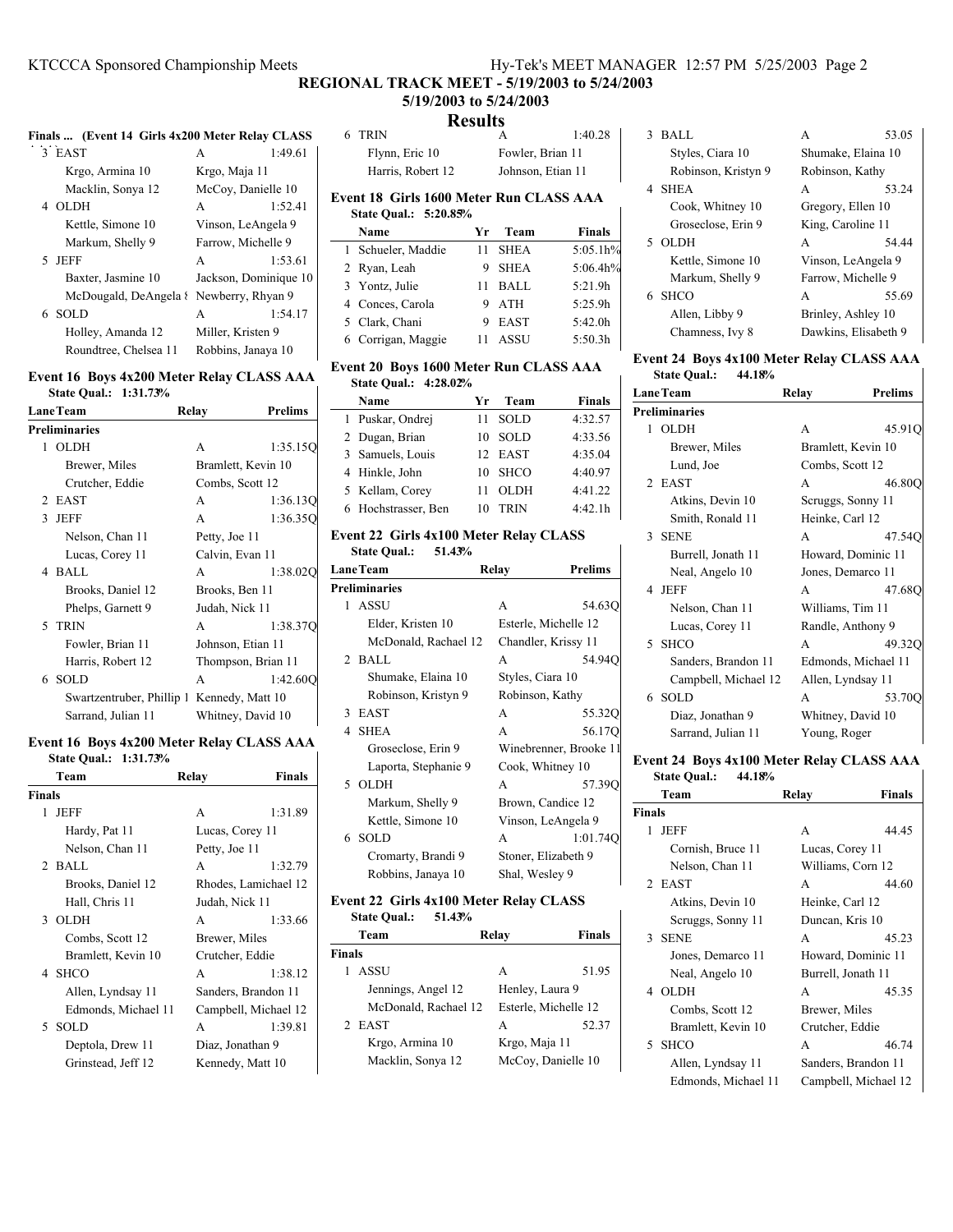$\overline{\phantom{a}}$ 

# **REGIONAL TRACK MEET - 5/19/2003 to 5/24/2003 5/19/2003 to 5/24/2003**

# **D**<sub>e</sub>

# **Finals ... (Event 14 Girls 4x200 Meter Relay CLASS**

| 3 EAST                | 1:49.61<br>А          |
|-----------------------|-----------------------|
| Krgo, Armina 10       | Krgo, Maja 11         |
| Macklin, Sonya 12     | McCoy, Danielle 10    |
| 4 OLDH                | 1:52.41<br>A          |
| Kettle, Simone 10     | Vinson, LeAngela 9    |
| Markum, Shelly 9      | Farrow, Michelle 9    |
| 5 JEFF                | 1:53.61<br>A          |
| Baxter, Jasmine 10    | Jackson, Dominique 10 |
| McDougald, DeAngela { | Newberry, Rhyan 9     |
| 6. SOLD               | 1:54.17<br>A          |
| Holley, Amanda 12     | Miller, Kristen 9     |
| Roundtree, Chelsea 11 | Robbins, Janaya 10    |

#### **Event 16 Boys 4x200 Meter Relay CLASS AAA State Qual.: 1:31.73%** H

| <b>LaneTeam</b> |                           | Relay         | <b>Prelims</b>     |
|-----------------|---------------------------|---------------|--------------------|
|                 | <b>Preliminaries</b>      |               |                    |
| 1               | OLDH                      | A             | 1:35.15O           |
|                 | Brewer, Miles             |               | Bramlett, Kevin 10 |
|                 | Crutcher, Eddie           |               | Combs, Scott 12    |
|                 | 2 EAST                    | A             | 1:36.13Q           |
|                 | 3 JEFF                    | A             | 1:36.350           |
|                 | Nelson, Chan 11           | Petty, Joe 11 |                    |
|                 | Lucas, Corey 11           |               | Calvin, Evan 11    |
|                 | 4 BALL                    | A             | 1:38.020           |
|                 | Brooks, Daniel 12         |               | Brooks, Ben 11     |
|                 | Phelps, Garnett 9         |               | Judah, Nick 11     |
|                 | 5 TRIN                    | A             | 1:38.37C           |
|                 | Fowler, Brian 11          |               | Johnson, Etian 11  |
|                 | Harris, Robert 12         |               | Thompson, Brian 11 |
|                 | 6 SOLD                    | A             | 1:42.600           |
|                 | Swartzentruber, Phillip 1 |               | Kennedy, Matt 10   |
|                 | Sarrand, Julian 11        |               | Whitney, David 10  |

# **Event 16 Boys 4x200 Meter Relay CLASS AAA State Qual.: 1:31.73%**

|               | Team                | Relay           | <b>Finals</b>        |
|---------------|---------------------|-----------------|----------------------|
| <b>Finals</b> |                     |                 |                      |
| 1             | <b>JEFF</b>         | A               | 1:31.89              |
|               | Hardy, Pat 11       | Lucas, Corey 11 |                      |
|               | Nelson, Chan 11     | Petty, Joe 11   |                      |
|               | 2 BALL              | A               | 1:32.79              |
|               | Brooks, Daniel 12   |                 | Rhodes, Lamichael 12 |
|               | Hall, Chris 11      | Judah, Nick 11  |                      |
|               | 3 OLDH              | A               | 1:33.66              |
|               | Combs, Scott 12     | Brewer, Miles   |                      |
|               | Bramlett, Kevin 10  | Crutcher, Eddie |                      |
|               | 4 SHCO              | A               | 1:38.12              |
|               | Allen, Lyndsay 11   |                 | Sanders, Brandon 11  |
|               | Edmonds, Michael 11 |                 | Campbell, Michael 12 |
|               | 5 SOLD              | A               | 1:39.81              |
|               | Deptola, Drew 11    |                 | Diaz, Jonathan 9     |
|               | Grinstead, Jeff 12  |                 | Kennedy, Matt 10     |
|               |                     |                 |                      |

| Results                                                          |    |                  |               |  |
|------------------------------------------------------------------|----|------------------|---------------|--|
| <b>TRIN</b><br>6.                                                |    | А                | 1:40.28       |  |
| Flynn, Eric 10                                                   |    | Fowler, Brian 11 |               |  |
| Harris, Robert 12<br>Johnson, Etian 11                           |    |                  |               |  |
| Event 18 Girls 1600 Meter Run CLASS AAA<br>State Qual.: 5:20.85% |    |                  |               |  |
| Name                                                             | Уr | Team             | <b>Finals</b> |  |
| 1 Schueler, Maddie                                               | 11 | <b>SHEA</b>      | 5:05.1h%      |  |
| 2 Ryan, Leah                                                     | 9  | <b>SHEA</b>      | 5:06.4h%      |  |
| 3 Vontz Iulie                                                    | 11 | RAII             | $5.21$ Qh     |  |

| 3 Yontz, Julie     | 11 BALL | 5:21.9h |
|--------------------|---------|---------|
| 4 Conces, Carola   | 9 ATH   | 5:25.9h |
| 5 Clark, Chani     | 9 EAST  | 5:42.0h |
| 6 Corrigan, Maggie | 11 ASSU | 5:50.3h |

# **Event 20 Boys 1600 Meter Run CLASS AAA**

| State Oual.: 4:28.02% |                   |               |
|-----------------------|-------------------|---------------|
| Name                  | Team<br>Yг        | <b>Finals</b> |
| 1 Puskar, Ondrej      | <b>SOLD</b><br>11 | 4:32.57       |
| 2 Dugan, Brian        | <b>SOLD</b><br>10 | 4:33.56       |
| 3 Samuels, Louis      | 12 EAST           | 4:35.04       |
| 4 Hinkle, John        | <b>SHCO</b><br>10 | 4:40.97       |
| 5 Kellam, Corey       | <b>OLDH</b><br>11 | 4:41.22       |
| 6 Hochstrasser, Ben   | <b>TRIN</b><br>10 | 4:42.1h       |

### **Event 22 Girls 4x100 Meter Relay CLASS State Qual.: 51.43%**

| <b>LaneTeam</b>    |                      | Relay            | <b>Prelims</b>         |
|--------------------|----------------------|------------------|------------------------|
|                    | <b>Preliminaries</b> |                  |                        |
|                    | 1 ASSU               | A                | 54.630                 |
|                    | Elder, Kristen 10    |                  | Esterle, Michelle 12   |
|                    | McDonald, Rachael 12 |                  | Chandler, Krissy 11    |
|                    | 2 BALL               | A                | 54.940                 |
|                    | Shumake, Elaina 10   | Styles, Ciara 10 |                        |
|                    | Robinson, Kristyn 9  |                  | Robinson, Kathy        |
| 3                  | EAST                 | A                | 55.320                 |
|                    | 4 SHEA               | A                | 56.170                 |
|                    | Groseclose, Erin 9   |                  | Winebrenner, Brooke 11 |
|                    | Laporta, Stephanie 9 |                  | Cook, Whitney 10       |
|                    | 5 OLDH               | A                | 57.390                 |
|                    | Markum, Shelly 9     |                  | Brown, Candice 12      |
|                    | Kettle, Simone 10    |                  | Vinson, LeAngela 9     |
|                    | 6 SOLD               | A                | 1:01.74Q               |
| Cromarty, Brandi 9 |                      |                  | Stoner, Elizabeth 9    |
|                    | Robbins, Janaya 10   | Shal, Wesley 9   |                        |

### **Event 22 Girls 4x100 Meter Relay CLASS State Qual.: 51.43%**

|               | <b>State Oual.:</b> | 51.43%               |                 |                      |
|---------------|---------------------|----------------------|-----------------|----------------------|
|               | Team                |                      | Relay           | <b>Finals</b>        |
| <b>Finals</b> |                     |                      |                 |                      |
|               | ASSU                |                      | A               | 51.95                |
|               | Jennings, Angel 12  |                      | Henley, Laura 9 |                      |
|               |                     | McDonald, Rachael 12 |                 | Esterle, Michelle 12 |
|               | 2 EAST              |                      | А               | 52.37                |
|               | Krgo, Armina 10     |                      | Krgo, Maja 11   |                      |
|               | Macklin, Sonya 12   |                      |                 | McCoy, Danielle 10   |

| <b>BALL</b>         | 53.05<br>А           |
|---------------------|----------------------|
| Styles, Ciara 10    | Shumake, Elaina 10   |
| Robinson, Kristyn 9 | Robinson, Kathy      |
| 4 SHEA              | 53.24<br>A           |
| Cook, Whitney 10    | Gregory, Ellen 10    |
| Groseclose, Erin 9  | King, Caroline 11    |
| 5 OLDH              | 54.44<br>A           |
| Kettle, Simone 10   | Vinson, LeAngela 9   |
| Markum, Shelly 9    | Farrow, Michelle 9   |
| 6 SHCO              | 55.69<br>A           |
| Allen, Libby 9      | Brinley, Ashley 10   |
| Chamness, Ivy 8     | Dawkins, Elisabeth 9 |

# **Event 24 Boys 4x100 Meter Relay CLASS AAA State Qual.: 44.18%**

|                      | <b>LaneTeam</b>      | Relay            | <b>Prelims</b>      |  |
|----------------------|----------------------|------------------|---------------------|--|
| <b>Preliminaries</b> |                      |                  |                     |  |
| 1                    | <b>OLDH</b>          | A                | 45.91C              |  |
|                      | Brewer, Miles        |                  | Bramlett, Kevin 10  |  |
|                      | Lund, Joe            | Combs, Scott 12  |                     |  |
|                      | 2 EAST               | A                | 46.80C              |  |
|                      | Atkins, Devin 10     |                  | Scruggs, Sonny 11   |  |
|                      | Smith, Ronald 11     | Heinke, Carl 12  |                     |  |
| 3                    | <b>SENE</b>          | A                | 47.540              |  |
|                      | Burrell, Jonath 11   |                  | Howard, Dominic 11  |  |
|                      | Neal, Angelo 10      |                  | Jones, Demarco 11   |  |
|                      | 4 JEFF               | A                | 47.680              |  |
|                      | Nelson, Chan 11      | Williams, Tim 11 |                     |  |
|                      | Lucas, Corey 11      |                  | Randle, Anthony 9   |  |
|                      | 5 SHCO               | A                | 49.320              |  |
|                      | Sanders, Brandon 11  |                  | Edmonds, Michael 11 |  |
|                      | Campbell, Michael 12 |                  | Allen, Lyndsay 11   |  |
|                      | 6 SOLD               | A                | 53.700              |  |
|                      | Diaz, Jonathan 9     |                  | Whitney, David 10   |  |
|                      | Sarrand, Julian 11   | Young, Roger     |                     |  |

#### **Event 24 Boys 4x100 Meter Relay CLASS AAA State Qual.: 44.18%**

| state Qual<br>44.10/0 |                 |                      |
|-----------------------|-----------------|----------------------|
| Team                  | Relay           | Finals               |
| Finals                |                 |                      |
| JEFF<br>L             | А               | 44.45                |
| Cornish, Bruce 11     | Lucas, Corey 11 |                      |
| Naloon Chan 11        |                 | $W_0$ lliama Corn 12 |

| Nelson, Chan 11     | Williams, Corn 12    |  |
|---------------------|----------------------|--|
| 2 EAST              | 44.60<br>A           |  |
| Atkins, Devin 10    | Heinke, Carl 12      |  |
| Scruggs, Sonny 11   | Duncan, Kris 10      |  |
| <b>SENE</b><br>3    | 45.23<br>A           |  |
| Jones, Demarco 11   | Howard, Dominic 11   |  |
| Neal, Angelo 10     | Burrell, Jonath 11   |  |
| 4 OLDH              | 45.35<br>A           |  |
| Combs, Scott 12     | Brewer, Miles        |  |
| Bramlett, Kevin 10  | Crutcher, Eddie      |  |
| <b>SHCO</b><br>5    | 46.74<br>A           |  |
| Allen, Lyndsay 11   | Sanders, Brandon 11  |  |
| Edmonds, Michael 11 | Campbell, Michael 12 |  |
|                     |                      |  |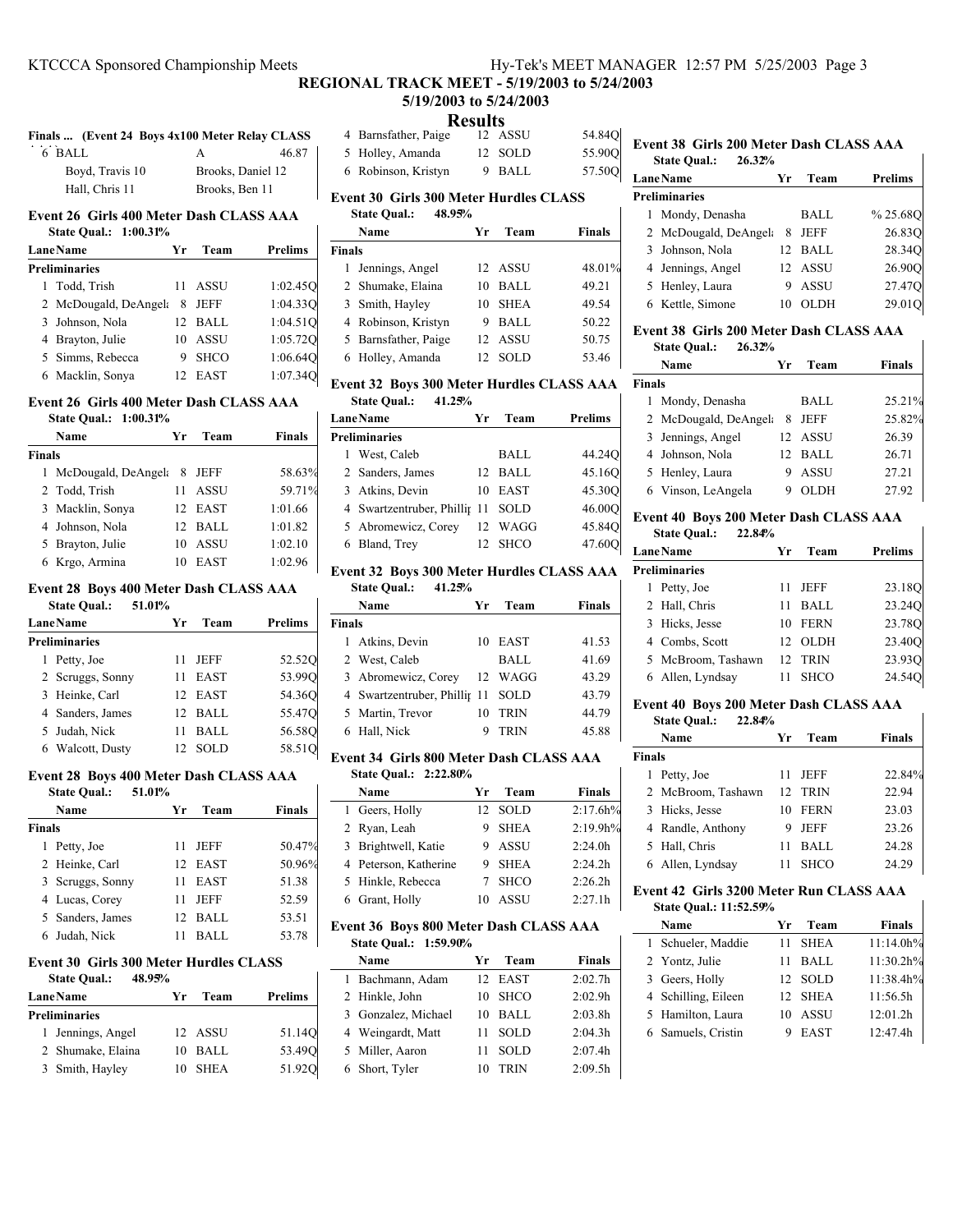# **REGIONAL TRACK MEET - 5/19/2003 to 5/24/2003 5/19/2003 to 5/24/2003**

# **Results**

|        |                 | Finals  (Event 24 Boys 4x100 Meter Relay CLASS |       |  |
|--------|-----------------|------------------------------------------------|-------|--|
| 6 BALL |                 |                                                | 46.87 |  |
|        | Boyd, Travis 10 | Brooks, Daniel 12                              |       |  |
|        | Hall. Chris 11  | Brooks, Ben 11                                 |       |  |

#### **Event 26 Girls 400 Meter Dash CLASS AAA State Qual.: 1:00.31%**

| State Qual.: 1:00.31% |    |             |                |
|-----------------------|----|-------------|----------------|
| <b>Lane Name</b>      | Yr | Team        | <b>Prelims</b> |
| <b>Preliminaries</b>  |    |             |                |
| 1 Todd, Trish         | 11 | ASSU        | 1:02.450       |
| 2 McDougald, DeAngela | 8  | JEFF        | 1:04.33Q       |
| 3 Johnson, Nola       |    | 12 BALL     | 1:04.51Q       |
| 4 Brayton, Julie      | 10 | <b>ASSU</b> | 1:05.72Q       |
| 5 Simms, Rebecca      | 9  | <b>SHCO</b> | 1:06.64Q       |
| 6 Macklin, Sonya      |    | EAST        | 1:07.340       |

# **Event 26 Girls 400 Meter Dash CLASS AAA**

|        | <b>State Oual.: 1:00.31%</b> |    |             |               |
|--------|------------------------------|----|-------------|---------------|
|        | Name                         | Yr | Team        | <b>Finals</b> |
| Finals |                              |    |             |               |
|        | 1 McDougald, DeAngel:        | 8  | JEFF        | 58.63%        |
|        | 2 Todd, Trish                | 11 | ASSU        | 59.71%        |
|        | 3 Macklin, Sonya             |    | 12 EAST     | 1:01.66       |
|        | 4 Johnson, Nola              |    | 12 BALL     | 1:01.82       |
|        | 5 Brayton, Julie             | 10 | ASSU        | 1:02.10       |
|        | 6 Krgo, Armina               | 10 | <b>EAST</b> | 1:02.96       |
|        |                              |    |             |               |

# **Event 28 Boys 400 Meter Dash CLASS AAA**

| 51.01%<br><b>State Qual.:</b> |
|-------------------------------|
|-------------------------------|

| 51.01%<br><b>State Qual.:</b> |    |             |                |    |
|-------------------------------|----|-------------|----------------|----|
| <b>Lane Name</b>              | Yr | Team        | <b>Prelims</b> | Fi |
| <b>Preliminaries</b>          |    |             |                |    |
| Petty, Joe                    | 11 | <b>JEFF</b> | 52.520         |    |
| 2 Scruggs, Sonny              | 11 | <b>EAST</b> | 53.990         |    |
| 3 Heinke, Carl                |    | 12 EAST     | 54.360         |    |
| 4 Sanders, James              |    | $12$ BALL   | 55.47O         |    |
| 5 Judah, Nick                 |    | BALL        | 56.580         |    |
| 6 Walcott, Dusty              |    | SOLD        | 58.51Q         |    |

# **Event 28 Boys 400 Meter Dash CLASS AAA**

| <b>State Qual.:</b> | 51.01% |         |               |
|---------------------|--------|---------|---------------|
| Name                | Уr     | Team    | <b>Finals</b> |
| <b>Finals</b>       |        |         |               |
| 1 Petty, Joe        | 11     | JEFF    | 50.47%        |
| 2 Heinke, Carl      |        | 12 EAST | 50.96%        |
| 3 Scruggs, Sonny    | 11     | EAST    | 51.38         |
| 4 Lucas, Corey      | 11     | JEFF    | 52.59         |
| 5 Sanders, James    | 12     | BALL    | 53.51         |
| 6 Judah, Nick       |        | BALL    | 53.78         |
|                     |        |         |               |

### **Event 30 Girls 300 Meter Hurdles CLASS State Qual.: 48.95%**

| <b>State Qual.:</b> |  |
|---------------------|--|
|---------------------|--|

| <b>Lane Name</b> |                      | Yг | Team      | Prelims |  |
|------------------|----------------------|----|-----------|---------|--|
|                  | <b>Preliminaries</b> |    |           |         |  |
|                  | 1 Jennings, Angel    |    | 12 ASSU   | 51.140  |  |
|                  | 2 Shumake, Elaina    |    | $10$ BALL | 53.490  |  |
|                  | 3 Smith, Hayley      |    | 10 SHEA   | 51.920  |  |

| 4 Barnsfather, Paige | 12 ASSU | 54.84Q |
|----------------------|---------|--------|
| 5 Holley, Amanda     | 12 SOLD | 55.900 |
| 6 Robinson, Kristyn  | 9 BALL  | 57.50Q |

# **Event 30 Girls 300 Meter Hurdles CLASS State Qual.: 48.95%**

| Name                 | Уr              | Team        | <b>Finals</b> |
|----------------------|-----------------|-------------|---------------|
| <b>Finals</b>        |                 |             |               |
| 1 Jennings, Angel    |                 | 12 ASSU     | 48.01%        |
| 2 Shumake, Elaina    | 10              | BALL        | 49.21         |
| 3 Smith, Hayley      | 10              | <b>SHEA</b> | 49.54         |
| 4 Robinson, Kristyn  | 9               | BALL        | 50.22         |
| 5 Barnsfather, Paige | 12 <sub>1</sub> | ASSU        | 50.75         |
| 6 Holley, Amanda     | 12              | <b>SOLD</b> | 53.46         |

# **Event 32 Boys 300 Meter Hurdles CLASS AAA State Qual.: 41.25%**

| <b>LaneName</b>                   | Уr | Team    | Prelims |
|-----------------------------------|----|---------|---------|
| <b>Preliminaries</b>              |    |         |         |
| 1 West, Caleb                     |    | BALL    | 44.24Q  |
| 2 Sanders, James                  |    | 12 BALL | 45.160  |
| 3 Atkins, Devin                   | 10 | EAST    | 45.300  |
| 4 Swartzentruber, Phillir 11 SOLD |    |         | 46.000  |
| 5 Abromewicz, Corey               |    | 12 WAGG | 45.84Q  |
| 6 Bland, Trey                     |    | 12 SHCO | 47.600  |
|                                   |    |         |         |

# **Event 32 Boys 300 Meter Hurdles CLASS AAA**

| <b>State Qual.:</b><br>41.25% |                                   |    |             |               |
|-------------------------------|-----------------------------------|----|-------------|---------------|
|                               | Name                              | Yr | Team        | <b>Finals</b> |
| Finals                        |                                   |    |             |               |
|                               | 1 Atkins, Devin                   |    | 10 EAST     | 41.53         |
|                               | 2 West, Caleb                     |    | BALL        | 41.69         |
|                               | 3 Abromewicz, Corey               |    | 12 WAGG     | 43.29         |
|                               | 4 Swartzentruber, Phillip 11 SOLD |    |             | 43.79         |
|                               | 5 Martin, Trevor                  | 10 | <b>TRIN</b> | 44.79         |
|                               | 6 Hall, Nick                      |    | <b>TRIN</b> | 45.88         |

#### **Event 34 Girls 800 Meter Dash CLASS AAA State Qual.: 2:22.80%**

| $5.400 \times 1000$   |    |             |                     |
|-----------------------|----|-------------|---------------------|
| Name                  | Yг | Team        | <b>Finals</b>       |
| 1 Geers, Holly        |    | 12 SOLD     | 2:17.6h%            |
| 2 Ryan, Leah          |    | 9 SHEA      | 2:19.9h%            |
| 3 Brightwell, Katie   |    | 9 ASSU      | 2:24.0h             |
| 4 Peterson, Katherine |    | 9 SHEA      | 2:24.2h             |
| 5 Hinkle, Rebecca     |    | 7 SHCO      | 2:26.2 <sub>h</sub> |
| 6 Grant, Holly        |    | <b>ASSU</b> | 2:27.1h             |

#### **Event 36 Boys 800 Meter Dash CLASS AAA State Qual.: 1:59.90%**

|  | Name                | Yr | Team        | <b>Finals</b> |
|--|---------------------|----|-------------|---------------|
|  | 1 Bachmann, Adam    |    | 12 EAST     | 2:02.7h       |
|  | 2 Hinkle, John      | 10 | SHCO        | 2:02.9h       |
|  | 3 Gonzalez, Michael | 10 | BALL        | 2:03.8h       |
|  | 4 Weingardt, Matt   | 11 | <b>SOLD</b> | 2:04.3h       |
|  | 5 Miller, Aaron     | 11 | <b>SOLD</b> | 2:07.4h       |
|  | 6 Short, Tyler      | 10 | <b>TRIN</b> | 2:09.5h       |

#### **Event 38 Girls 200 Meter Dash CLASS AAA State Qual.: 26.32%**

 $\mathbf{I}$ 

 $\mathbf{I}$ 

 $\mathbf{I}$ 

| state Qual<br>40.JZ/0 |    |             |                |
|-----------------------|----|-------------|----------------|
| <b>LaneName</b>       | Үr | Team        | <b>Prelims</b> |
| <b>Preliminaries</b>  |    |             |                |
| Mondy, Denasha        |    | BALL        | %25.68O        |
| 2 McDougald, DeAngela | 8  | JEFF        | 26.830         |
| 3 Johnson, Nola       | 12 | BALL        | 28.34Q         |
| 4 Jennings, Angel     |    | 12 ASSU     | 26.90O         |
| 5 Henley, Laura       |    | <b>ASSU</b> | 27.47O         |
| 6 Kettle, Simone      |    | OLDH        | 29.01          |

### **Event 38 Girls 200 Meter Dash CLASS AAA State Qual.: 26.32%**

|               | Name                  | Уr              | Team        | <b>Finals</b> |
|---------------|-----------------------|-----------------|-------------|---------------|
| <b>Finals</b> |                       |                 |             |               |
|               | 1 Mondy, Denasha      |                 | BALL        | 25.21%        |
|               | 2 McDougald, DeAngela | 8               | JEFF        | 25.82%        |
|               | 3 Jennings, Angel     |                 | 12 ASSU     | 26.39         |
|               | 4 Johnson, Nola       | 12 <sub>1</sub> | BALL        | 26.71         |
|               | 5 Henley, Laura       |                 | <b>ASSU</b> | 27.21         |
|               | 6 Vinson, LeAngela    |                 | OLDH        | 27.92         |

### **Event 40 Boys 200 Meter Dash CLASS AAA State Qual.: 22.84%**

|   | <b>LaneName</b>      | Уr  | Team        | <b>Prelims</b> |
|---|----------------------|-----|-------------|----------------|
|   | <b>Preliminaries</b> |     |             |                |
| L | Petty, Joe           | 11  | <b>JEFF</b> | 23.18Q         |
|   | 2 Hall, Chris        | 11  | BALL        | 23.24O         |
|   | 3 Hicks, Jesse       | 10  | FERN        | 23.78Q         |
|   | 4 Combs, Scott       | 12. | <b>OLDH</b> | 23.400         |
|   | 5 McBroom, Tashawn   | 12. | <b>TRIN</b> | 23.93Q         |
|   | Allen, Lyndsay       |     | SHCO        | 24.540         |

#### **Event 40 Boys 200 Meter Dash CLASS AAA**<br>State Qual : 22.84% **State Qual.**

|               | State Qual.:<br><b><i>LL.</i>84%</b> |     |             |        |
|---------------|--------------------------------------|-----|-------------|--------|
|               | Name                                 | Yr. | Team        | Finals |
| <b>Finals</b> |                                      |     |             |        |
| 1.            | Petty, Joe                           | 11  | <b>JEFF</b> | 22.84% |
|               | 2 McBroom, Tashawn                   |     | 12 TRIN     | 22.94  |
|               | 3 Hicks, Jesse                       | 10  | <b>FERN</b> | 23.03  |
|               | 4 Randle, Anthony                    | 9   | <b>JEFF</b> | 23.26  |
|               | 5 Hall, Chris                        | 11  | BALL        | 24.28  |
|               | 6 Allen, Lyndsay                     | 11  | <b>SHCO</b> | 24.29  |
|               |                                      |     |             |        |

#### **Event 42 Girls 3200 Meter Run CLASS AAA State Qual.: 11:52.59%**

| Name                | Уr | Team                   | <b>Finals</b>                     |
|---------------------|----|------------------------|-----------------------------------|
| 1 Schueler, Maddie  | 11 |                        | 11:14.0h%                         |
| 2 Yontz, Julie      | 11 | BALL                   | 11:30.2h%                         |
| 3 Geers, Holly      |    |                        | 11:38.4h%                         |
| 4 Schilling, Eileen |    |                        | 11:56.5h                          |
| 5 Hamilton, Laura   | 10 | ASSU                   | 12:01.2h                          |
| 6 Samuels, Cristin  |    | <b>EAST</b>            | 12:47.4h                          |
|                     |    | State Qual.: 11:52.59% | <b>SHEA</b><br>12 SOLD<br>12 SHEA |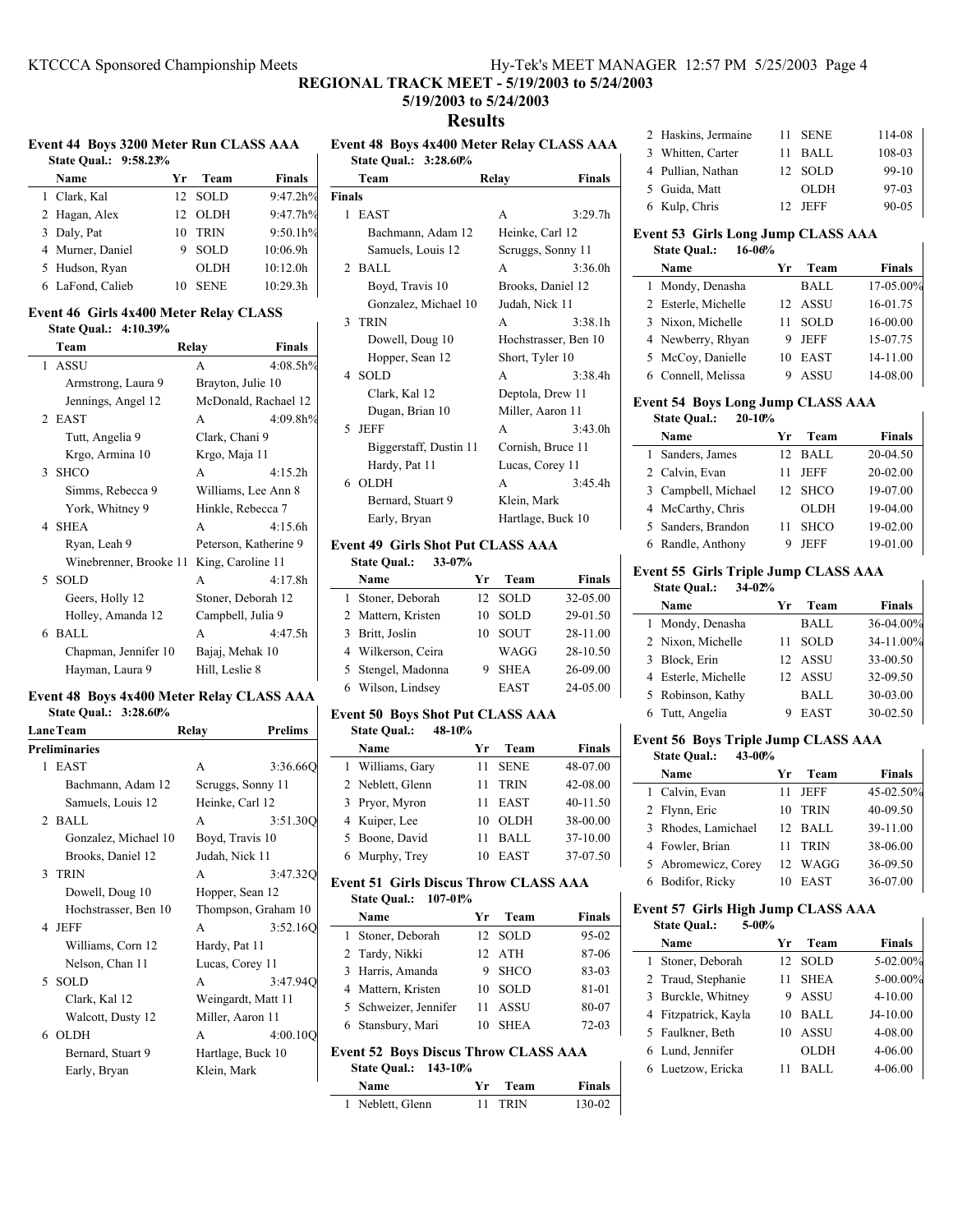# **REGIONAL TRACK MEET - 5/19/2003 to 5/24/2003**

# **5/19/2003 to 5/24/2003**

# **Results**

**Event 44 Boys 3200 Meter Run CLASS AAA Event 48 Boys 4x400 Meter Relay CLASS AAA**

| State Oual.: 9:58.23% |                 |             |               |
|-----------------------|-----------------|-------------|---------------|
| Name                  | Yr.             | Team        | <b>Finals</b> |
| 1 Clark, Kal          | 12 <sub>1</sub> | SOLD        | 9:47.2h%      |
| 2 Hagan, Alex         | 12              | <b>OLDH</b> | 9:47.7h%      |
| 3 Daly, Pat           | 10              | <b>TRIN</b> | 9:50.1h%      |
| 4 Murner, Daniel      | 9               | <b>SOLD</b> | 10:06.9h      |
| 5 Hudson, Ryan        |                 | <b>OLDH</b> | 10:12.0h      |
| 6 LaFond, Calieb      |                 | <b>SENE</b> | 10:29.3h      |

### **Event 46 Girls 4x400 Meter Relay CLASS State Qual.: 4:10.39%**

| Team                   | Relay              | <b>Finals</b>         |
|------------------------|--------------------|-----------------------|
| 1 ASSU                 | A                  | 4:08.5h%              |
| Armstrong, Laura 9     | Brayton, Julie 10  |                       |
| Jennings, Angel 12     |                    | McDonald, Rachael 12  |
| 2 EAST                 | A                  | 4:09.8h%              |
| Tutt, Angelia 9        | Clark, Chani 9     |                       |
| Krgo, Armina 10        | Krgo, Maja 11      |                       |
| 3 SHCO                 | A                  | 4:15.2h               |
| Simms, Rebecca 9       |                    | Williams, Lee Ann 8   |
| York, Whitney 9        | Hinkle, Rebecca 7  |                       |
| 4 SHEA                 | A                  | 4:15.6h               |
| Ryan, Leah 9           |                    | Peterson, Katherine 9 |
| Winebrenner, Brooke 11 | King, Caroline 11  |                       |
| 5 SOLD                 | A                  | 4:17.8h               |
| Geers, Holly 12        | Stoner, Deborah 12 |                       |
| Holley, Amanda 12      | Campbell, Julia 9  |                       |
| 6 BALL                 | A                  | 4:47.5h               |
| Chapman, Jennifer 10   | Bajaj, Mehak 10    |                       |
| Hayman, Laura 9        | Hill, Leslie 8     |                       |

### **Event 48 Boys 4x400 Meter Relay CLASS AAA State Qual.: 3:28.60%**

| <b>LaneTeam</b>      | Relay            | <b>Prelims</b>      |
|----------------------|------------------|---------------------|
| <b>Preliminaries</b> |                  |                     |
| 1 EAST               | A                | 3:36.66C            |
| Bachmann, Adam 12    |                  | Scruggs, Sonny 11   |
| Samuels, Louis 12    | Heinke, Carl 12  |                     |
| $2$ BALL             | A                | 3:51.300            |
| Gonzalez, Michael 10 | Boyd, Travis 10  |                     |
| Brooks, Daniel 12    | Judah, Nick 11   |                     |
| 3 TRIN               | A                | 3:47.320            |
| Dowell, Doug 10      | Hopper, Sean 12  |                     |
| Hochstrasser, Ben 10 |                  | Thompson, Graham 10 |
| 4 JEFF               | A                | 3:52.160            |
| Williams, Corn 12    | Hardy, Pat 11    |                     |
| Nelson, Chan 11      | Lucas, Corey 11  |                     |
| 5 SOLD               | A                | 3:47.94Q            |
| Clark, Kal 12        |                  | Weingardt, Matt 11  |
| Walcott, Dusty 12    | Miller, Aaron 11 |                     |
| 6 OLDH               | A                | 4:00.10O            |
| Bernard, Stuart 9    |                  | Hartlage, Buck 10   |
| Early, Bryan         | Klein, Mark      |                     |
|                      |                  |                     |

| State Oual.: 3:28.60% | EVERY TO BOYS TATOO MEED REGRY CERTISS TRIKE |               |
|-----------------------|----------------------------------------------|---------------|
| Team                  | Relay                                        | <b>Finals</b> |
| <b>Finals</b>         |                                              |               |

| 1 | EAST                   | A                    | 3:29.7 <sub>h</sub> |
|---|------------------------|----------------------|---------------------|
|   | Bachmann, Adam 12      | Heinke, Carl 12      |                     |
|   | Samuels, Louis 12      | Scruggs, Sonny 11    |                     |
|   | $2$ BALL               | A                    | 3:36.0h             |
|   | Boyd, Travis 10        | Brooks, Daniel 12    |                     |
|   | Gonzalez, Michael 10   | Judah, Nick 11       |                     |
|   | 3 TRIN                 | A                    | 3:38.1h             |
|   | Dowell, Doug 10        | Hochstrasser, Ben 10 |                     |
|   | Hopper, Sean 12        | Short, Tyler 10      |                     |
|   | 4 SOLD                 | A                    | 3:38.4h             |
|   | Clark, Kal 12          | Deptola, Drew 11     |                     |
|   | Dugan, Brian 10        | Miller, Aaron 11     |                     |
|   | 5 JEFF                 | A                    | 3:43.0h             |
|   | Biggerstaff, Dustin 11 | Cornish, Bruce 11    |                     |
|   | Hardy, Pat 11          | Lucas, Corey 11      |                     |
|   | 6 OLDH                 | A                    | 3:45.4h             |
|   | Bernard, Stuart 9      | Klein, Mark          |                     |
|   | Early, Bryan           | Hartlage, Buck 10    |                     |

### **Event 49 Girls Shot Put CLASS AAA State Qual.: 33-07%**

|  | Name               | Yг | Team        | <b>Finals</b> |
|--|--------------------|----|-------------|---------------|
|  | 1 Stoner, Deborah  |    | 12 SOLD     | 32-05.00      |
|  | 2 Mattern, Kristen | 10 | <b>SOLD</b> | 29-01.50      |
|  | 3 Britt, Joslin    | 10 | <b>SOUT</b> | 28-11.00      |
|  | 4 Wilkerson, Ceira |    | WAGG        | 28-10.50      |
|  | 5 Stengel, Madonna |    | <b>SHEA</b> | 26-09.00      |
|  | 6 Wilson, Lindsey  |    | <b>EAST</b> | 24-05.00      |

# **Event 50 Boys Shot Put CLASS AAA**

| 48-10%<br><b>State Qual.:</b> |                   |               |
|-------------------------------|-------------------|---------------|
| Name                          | Team<br>Уr        | <b>Finals</b> |
| 1 Williams, Gary              | <b>SENE</b><br>11 | 48-07.00      |
| 2 Neblett, Glenn              | <b>TRIN</b><br>11 | 42-08.00      |
| 3 Pryor, Myron                | <b>EAST</b><br>11 | $40 - 11.50$  |
| 4 Kuiper, Lee                 | <b>OLDH</b><br>10 | 38-00.00      |
| 5 Boone, David                | <b>BALL</b><br>11 | 37-10.00      |
| 6 Murphy, Trey                | EAST<br>10        | 37-07.50      |

### **Event 51 Girls Discus Throw CLASS AAA State Qual.: 107-01%**

|                                                                                          | Name                  | Yr. | Team        | Finals    |
|------------------------------------------------------------------------------------------|-----------------------|-----|-------------|-----------|
|                                                                                          | 1 Stoner, Deborah     |     | 12 SOLD     | 95-02     |
|                                                                                          | 2 Tardy, Nikki        |     | 12 ATH      | 87-06     |
|                                                                                          | 3 Harris, Amanda      | 9.  | <b>SHCO</b> | 83-03     |
|                                                                                          | 4 Mattern, Kristen    |     | 10 SOLD     | 81-01     |
|                                                                                          | 5 Schweizer, Jennifer |     | 11 ASSU     | 80-07     |
|                                                                                          | 6 Stansbury, Mari     |     | 10 SHEA     | $72 - 03$ |
| <b>Event 52 Boys Discus Throw CLASS AAA</b><br>$C_{\rm tot} \Omega_{\rm mol}$ , 142 100/ |                       |     |             |           |

# **State Qual.: 143-10%**

| Name             | Yr Team | <b>Finals</b> |
|------------------|---------|---------------|
| 1 Neblett, Glenn | 11 TRIN | 130-02        |

| 2 Haskins, Jermaine | 11 SENE                     | 114-08    |
|---------------------|-----------------------------|-----------|
| 3 Whitten, Carter   | 11 BALL                     | 108-03    |
| 4 Pullian, Nathan   | 12 SOLD                     | $99-10$   |
| 5 Guida, Matt       | <b>OLDH</b>                 | $97-03$   |
| 6 Kulp, Chris       | <b>JEFF</b><br>$12^{\circ}$ | $90 - 05$ |

# **Event 53 Girls Long Jump CLASS AAA State Qual.: 16-06%**

| Name                | Team<br>Yг        | <b>Finals</b> |
|---------------------|-------------------|---------------|
| 1 Mondy, Denasha    | BALL              | 17-05.00%     |
| 2 Esterle, Michelle | ASSU<br>12.       | 16-01.75      |
| 3 Nixon, Michelle   | <b>SOLD</b><br>11 | 16-00.00      |
| 4 Newberry, Rhyan   | <b>JEFF</b><br>9  | 15-07.75      |
| 5 McCoy, Danielle   | <b>EAST</b><br>10 | 14-11.00      |
| 6 Connell, Melissa  | ASSU              | 14-08.00      |

# **Event 54 Boys Long Jump CLASS AAA**

# **State Qual.: 20-10%**

| Name                | Уr | Team        | <b>Finals</b> |
|---------------------|----|-------------|---------------|
| 1 Sanders, James    |    | $12$ BALL   | $20-04.50$    |
| 2 Calvin, Evan      | 11 | JEFF        | 20-02.00      |
| 3 Campbell, Michael |    | 12 SHCO     | 19-07.00      |
| 4 McCarthy, Chris   |    | <b>OLDH</b> | 19-04.00      |
| 5 Sanders, Brandon  | 11 | <b>SHCO</b> | 19-02.00      |
| 6 Randle, Anthony   |    | JEFF        | 19-01.00      |

 $\overline{\phantom{a}}$ 

 $\mathbf{I}$ 

 $\mathbf{r}$ 

#### **Event 55 Girls Triple Jump CLASS AAA State Qual.: 34-02%**

| Name                | Уr | Team        | Finals    |
|---------------------|----|-------------|-----------|
| 1 Mondy, Denasha    |    | BALL        | 36-04.00% |
| 2 Nixon, Michelle   | 11 | <b>SOLD</b> | 34-11.00% |
| 3 Block, Erin       |    | 12 ASSU     | 33-00.50  |
| 4 Esterle, Michelle |    | 12 ASSU     | 32-09.50  |
| 5 Robinson, Kathy   |    | BALL        | 30-03.00  |
| 6 Tutt, Angelia     |    | <b>EAST</b> | 30-02.50  |

# **Event 56 Boys Triple Jump CLASS AAA**

| 43-00%<br><b>State Qual.:</b> |                           |               |
|-------------------------------|---------------------------|---------------|
| Name                          | Team<br>Уr                | <b>Finals</b> |
| 1 Calvin, Evan                | JEFF                      | 45-02.50%     |
| 2 Flynn, Eric                 | <b>TRIN</b><br>10         | 40-09.50      |
| 3 Rhodes, Lamichael           | - BALL<br>12 <sub>1</sub> | 39-11.00      |
| 4 Fowler, Brian               | <b>TRIN</b>               | 38-06.00      |
| 5 Abromewicz, Corey           | WAGG<br>12                | 36-09.50      |
| 6 Bodifor, Ricky              | <b>EAST</b>               | 36-07.00      |

# **Event 57 Girls High Jump CLASS AAA**

| <b>State Qual.:</b><br>$5 - 00%$ |    |             |             |
|----------------------------------|----|-------------|-------------|
| Name                             | Yr | Team        | Finals      |
| Stoner, Deborah                  | 12 | - SOLD      | 5-02.00%    |
| 2 Traud, Stephanie               | 11 | <b>SHEA</b> | 5-00.00%    |
| 3 Burckle, Whitney               | 9  | ASSU        | $4 - 10.00$ |
| 4 Fitzpatrick, Kayla             | 10 | BALL        | $J4-10.00$  |
| 5 Faulkner, Beth                 | 10 | ASSU        | 4-08.00     |
| 6 Lund, Jennifer                 |    | <b>OLDH</b> | 4-06.00     |
| 6 Luetzow, Ericka                |    | <b>BALL</b> | 4-06.00     |